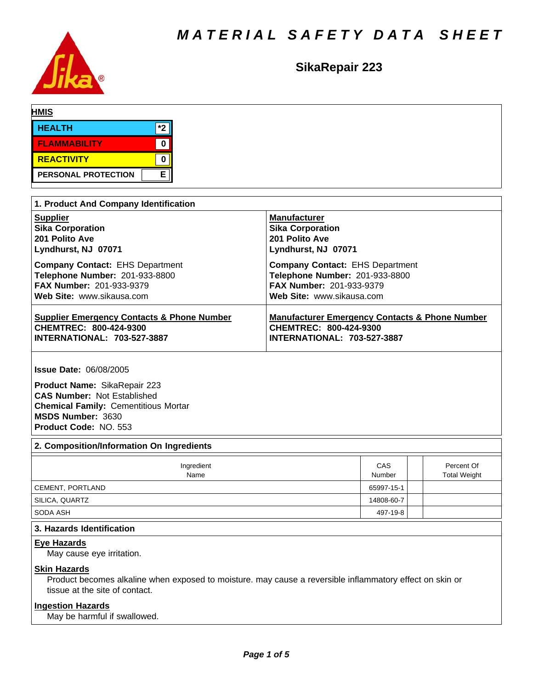

# **SikaRepair223**

| <b>HMIS</b>         |     |  |  |
|---------------------|-----|--|--|
| <b>HEALTH</b>       | $*$ |  |  |
| <b>FLAMMABILITY</b> |     |  |  |
| REACTIVITY          |     |  |  |
| PERSONAL PROTECTION | E   |  |  |

| 1. Product And Company Identification                 |                                                           |
|-------------------------------------------------------|-----------------------------------------------------------|
| <b>Supplier</b>                                       | <b>Manufacturer</b>                                       |
| <b>Sika Corporation</b>                               | <b>Sika Corporation</b>                                   |
| 201 Polito Ave                                        | 201 Polito Ave                                            |
| Lyndhurst, NJ 07071                                   | Lyndhurst, NJ 07071                                       |
| <b>Company Contact: EHS Department</b>                | <b>Company Contact: EHS Department</b>                    |
| Telephone Number: 201-933-8800                        | Telephone Number: 201-933-8800                            |
| <b>FAX Number: 201-933-9379</b>                       | <b>FAX Number: 201-933-9379</b>                           |
| Web Site: www.sikausa.com                             | Web Site: www.sikausa.com                                 |
| <b>Supplier Emergency Contacts &amp; Phone Number</b> | <b>Manufacturer Emergency Contacts &amp; Phone Number</b> |
| CHEMTREC: 800-424-9300                                | <b>CHEMTREC: 800-424-9300</b>                             |
| <b>INTERNATIONAL: 703-527-3887</b>                    | <b>INTERNATIONAL: 703-527-3887</b>                        |

**Issue Date:** 06/08/2005

**Product Name:** SikaRepair 223 **CAS Number:** Not Established **Chemical Family:** Cementitious Mortar **MSDS Number:** 3630 **Product Code:** NO. 553

# **2. Composition/Information On Ingredients**

| Ingredient<br>Name | CAS<br>Number | Percent Of<br><b>Total Weight</b> |
|--------------------|---------------|-----------------------------------|
| CEMENT, PORTLAND   | 65997-15-1    |                                   |
| SILICA, QUARTZ     | 14808-60-7    |                                   |
| SODA ASH           | 497-19-8      |                                   |

# **3. Hazards Identification**

### **Eye Hazards**

May cause eye irritation.

## **Skin Hazards**

Product becomes alkaline when exposed to moisture. may cause a reversible inflammatory effect on skin or tissue at the site of contact.

# **Ingestion Hazards**

May be harmful if swallowed.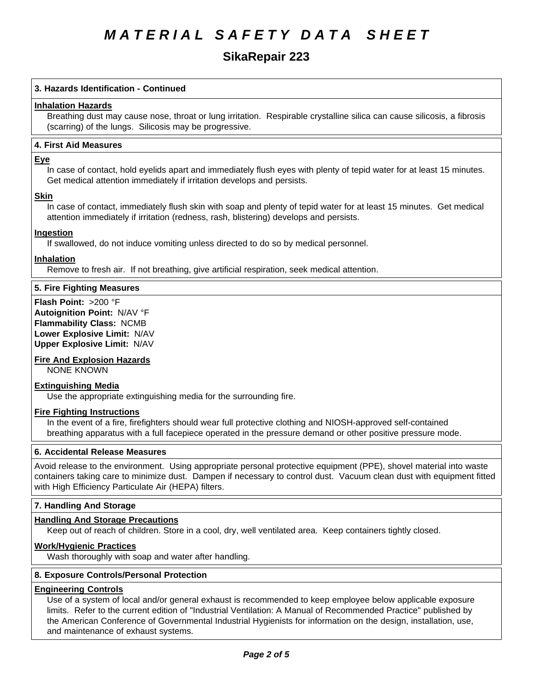# **SikaRepair223**

# **3. Hazards Identification - Continued**

# **Inhalation Hazards**

Breathing dust may cause nose, throat or lung irritation. Respirable crystalline silica can cause silicosis, a fibrosis (scarring) of the lungs. Silicosis may be progressive.

## **4.First AidMeasures**

### **Eye**

In case of contact, hold eyelids apart and immediately flush eyes with plenty of tepid water for at least 15 minutes. Get medical attention immediately if irritation develops and persists.

### **Skin**

In case of contact, immediately flush skin with soap and plenty of tepid water for at least 15 minutes. Get medical attention immediately if irritation (redness, rash, blistering) develops and persists.

# **Ingestion**

If swallowed, do not induce vomiting unless directed to do so by medical personnel.

### **Inhalation**

Remove to fresh air. If not breathing, give artificial respiration, seek medical attention.

# **5. Fire Fighting Measures**

**Flash Point:** >200 °F **Autoignition Point:** N/AV°F **Flammability Class:** NCMB **Lower Explosive Limit:** N/AV **Upper Explosive Limit:** N/AV

# **Fire And Explosion Hazards**

NONE KNOWN

# **Extinguishing Media**

Use the appropriate extinguishing media for the surrounding fire.

# **Fire Fighting Instructions**

In the event of a fire, firefighters should wear full protective clothing and NIOSH-approved self-contained breathing apparatus with a full facepiece operated in the pressure demand or other positive pressure mode.

## **6. Accidental Release Measures**

Avoid release to the environment. Using appropriate personal protective equipment (PPE), shovel material into waste containers taking care to minimize dust. Dampen if necessary to control dust. Vacuum clean dust with equipment fitted with High Efficiency Particulate Air (HEPA) filters.

# **7. Handling And Storage**

# **Handling And Storage Precautions**

Keep out of reach of children. Store in a cool, dry, well ventilated area. Keep containers tightly closed.

# **Work/Hygienic Practices**

Wash thoroughly with soap and water after handling.

### **8. Exposure Controls/Personal Protection**

### **Engineering Controls**

Use of a system of local and/or general exhaust is recommended to keep employee below applicable exposure limits. Refer to the current edition of "Industrial Ventilation: A Manual of Recommended Practice" published by the American Conference of Governmental Industrial Hygienists for information on the design, installation, use, and maintenance of exhaust systems.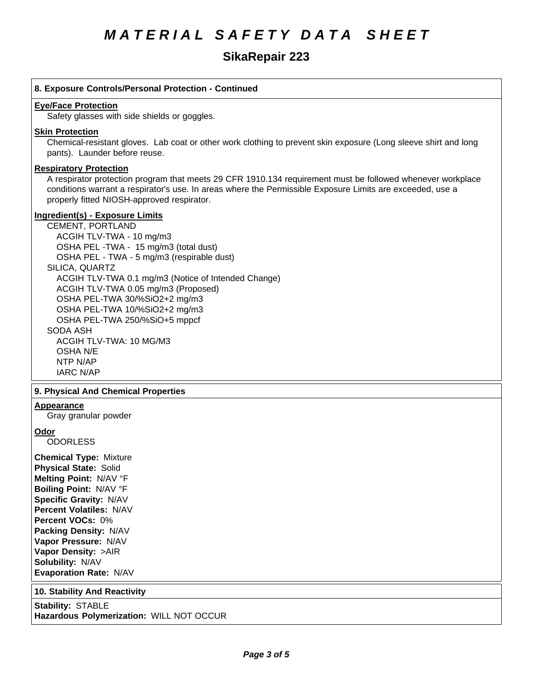# **SikaRepair223**

# **8. Exposure Controls/Personal Protection - Continued**

### **Eye/Face Protection**

Safety glasses with side shields or goggles.

### **Skin Protection**

Chemical-resistant gloves. Lab coat or other work clothing to prevent skin exposure (Long sleeve shirt and long pants). Launder before reuse.

# **Respiratory Protection**

A respirator protection program that meets 29 CFR 1910.134 requirement must be followed whenever workplace conditions warrant a respirator's use. In areas where the Permissible Exposure Limits are exceeded, use a properly fitted NIOSH-approved respirator.

## **Ingredient(s) - Exposure Limits**

CEMENT, PORTLAND ACGIHTLV-TWA-10 mg/m3 OSHA PEL-TWA - 15 mg/m3 (total dust) OSHA PEL - TWA - 5 mg/m3 (respirable dust) SILICA, QUARTZ ACGIH TLV-TWA 0.1 mg/m3 (Notice of Intended Change) ACGIH TLV-TWA 0.05 mg/m3 (Proposed) OSHA PEL-TWA 30/%SiO2+2 mg/m3 OSHA PEL-TWA 10/%SiO2+2 mg/m3 OSHA PEL-TWA 250/%SiO+5 mppcf SODA ASH ACGIH TLV-TWA:10 MG/M3 OSHA<sub>N/E</sub> NTP N/AP **IARC N/AP** 

### **9. PhysicalAnd Chemical Properties**

#### **Appearance**

Gray granular powder

### **Odor**

**ODORLESS** 

**Chemical Type:** Mixture **Physical State:** Solid **Melting Point:** N/AV°F **Boiling Point:** N/AV°F **Specific Gravity:** N/AV **Percent Volatiles:** N/AV **Percent VOCs:** 0% **Packing Density:** N/AV **Vapor Pressure:** N/AV **Vapor Density:** >AIR **Solubility: N/AV Evaporation Rate:** N/AV

### **10. Stability And Reactivity**

**Stability: STABLE Hazardous Polymerization:** WILL NOT OCCUR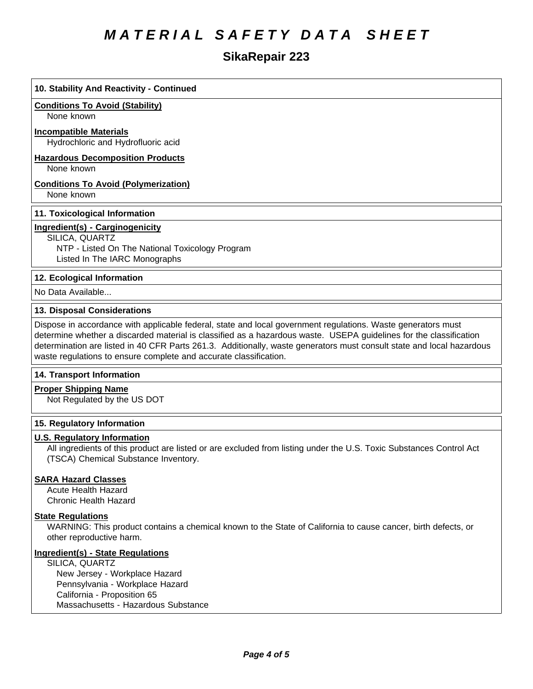# **SikaRepair223**

| 10. Stability And Reactivity - Continued                                                                                                                                                                                                                                                                                                                                                                                         |
|----------------------------------------------------------------------------------------------------------------------------------------------------------------------------------------------------------------------------------------------------------------------------------------------------------------------------------------------------------------------------------------------------------------------------------|
| <b>Conditions To Avoid (Stability)</b><br>None known                                                                                                                                                                                                                                                                                                                                                                             |
| <b>Incompatible Materials</b><br>Hydrochloric and Hydrofluoric acid                                                                                                                                                                                                                                                                                                                                                              |
| <b>Hazardous Decomposition Products</b><br>None known                                                                                                                                                                                                                                                                                                                                                                            |
| <b>Conditions To Avoid (Polymerization)</b><br>None known                                                                                                                                                                                                                                                                                                                                                                        |
| 11. Toxicological Information                                                                                                                                                                                                                                                                                                                                                                                                    |
| Ingredient(s) - Carginogenicity<br>SILICA, QUARTZ<br>NTP - Listed On The National Toxicology Program<br>Listed In The IARC Monographs                                                                                                                                                                                                                                                                                            |
| 12. Ecological Information                                                                                                                                                                                                                                                                                                                                                                                                       |
| No Data Available                                                                                                                                                                                                                                                                                                                                                                                                                |
| 13. Disposal Considerations                                                                                                                                                                                                                                                                                                                                                                                                      |
| Dispose in accordance with applicable federal, state and local government regulations. Waste generators must<br>determine whether a discarded material is classified as a hazardous waste. USEPA guidelines for the classification<br>determination are listed in 40 CFR Parts 261.3. Additionally, waste generators must consult state and local hazardous<br>waste regulations to ensure complete and accurate classification. |
| 14. Transport Information                                                                                                                                                                                                                                                                                                                                                                                                        |
| <b>Proper Shipping Name</b><br>Not Regulated by the US DOT                                                                                                                                                                                                                                                                                                                                                                       |
| 15. Regulatory Information                                                                                                                                                                                                                                                                                                                                                                                                       |
| <b>U.S. Regulatory Information</b><br>All ingredients of this product are listed or are excluded from listing under the U.S. Toxic Substances Control Act<br>(TSCA) Chemical Substance Inventory.                                                                                                                                                                                                                                |

# **SARA Hazard Classes**

Acute Health Hazard Chronic Health Hazard

# **State Regulations**

WARNING: This product contains a chemical known to the State of California to cause cancer, birth defects, or other reproductive harm.

# **Ingredient(s) - State Regulations**

SILICA, QUARTZ New Jersey - Workplace Hazard Pennsylvania - Workplace Hazard California - Proposition 65 Massachusetts - Hazardous Substance